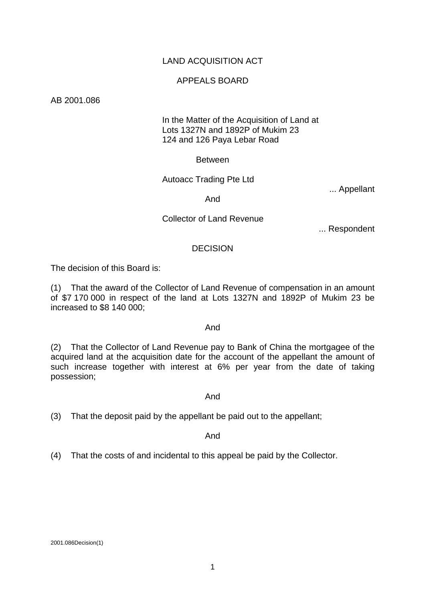# LAND ACQUISITION ACT

## APPEALS BOARD

AB 2001.086

## In the Matter of the Acquisition of Land at Lots 1327N and 1892P of Mukim 23 124 and 126 Paya Lebar Road

### **Between**

## Autoacc Trading Pte Ltd

... Appellant

## And

## Collector of Land Revenue

... Respondent

# DECISION

The decision of this Board is:

(1) That the award of the Collector of Land Revenue of compensation in an amount of \$7 170 000 in respect of the land at Lots 1327N and 1892P of Mukim 23 be increased to \$8 140 000;

### And

(2) That the Collector of Land Revenue pay to Bank of China the mortgagee of the acquired land at the acquisition date for the account of the appellant the amount of such increase together with interest at 6% per year from the date of taking possession;

### And

(3) That the deposit paid by the appellant be paid out to the appellant;

### And

(4) That the costs of and incidental to this appeal be paid by the Collector.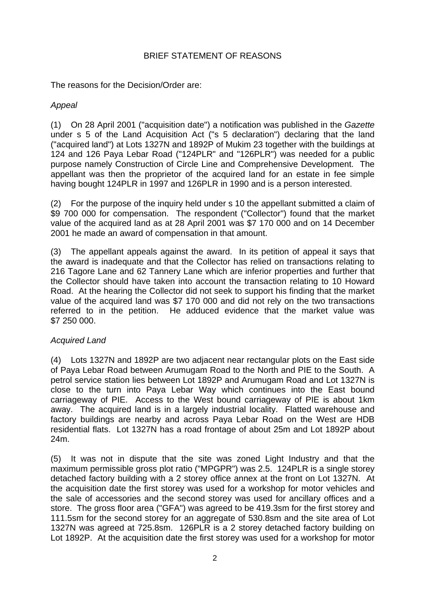# BRIEF STATEMENT OF REASONS

The reasons for the Decision/Order are:

# *Appeal*

(1) On 28 April 2001 ("acquisition date") a notification was published in the *Gazette* under s 5 of the Land Acquisition Act ("s 5 declaration") declaring that the land ("acquired land") at Lots 1327N and 1892P of Mukim 23 together with the buildings at 124 and 126 Paya Lebar Road ("124PLR" and "126PLR") was needed for a public purpose namely Construction of Circle Line and Comprehensive Development. The appellant was then the proprietor of the acquired land for an estate in fee simple having bought 124PLR in 1997 and 126PLR in 1990 and is a person interested.

(2) For the purpose of the inquiry held under s 10 the appellant submitted a claim of \$9 700 000 for compensation. The respondent ("Collector") found that the market value of the acquired land as at 28 April 2001 was \$7 170 000 and on 14 December 2001 he made an award of compensation in that amount.

(3) The appellant appeals against the award. In its petition of appeal it says that the award is inadequate and that the Collector has relied on transactions relating to 216 Tagore Lane and 62 Tannery Lane which are inferior properties and further that the Collector should have taken into account the transaction relating to 10 Howard Road. At the hearing the Collector did not seek to support his finding that the market value of the acquired land was \$7 170 000 and did not rely on the two transactions referred to in the petition. He adduced evidence that the market value was \$7 250 000.

# *Acquired Land*

(4) Lots 1327N and 1892P are two adjacent near rectangular plots on the East side of Paya Lebar Road between Arumugam Road to the North and PIE to the South. A petrol service station lies between Lot 1892P and Arumugam Road and Lot 1327N is close to the turn into Paya Lebar Way which continues into the East bound carriageway of PIE. Access to the West bound carriageway of PIE is about 1km away. The acquired land is in a largely industrial locality. Flatted warehouse and factory buildings are nearby and across Paya Lebar Road on the West are HDB residential flats. Lot 1327N has a road frontage of about 25m and Lot 1892P about 24m.

(5) It was not in dispute that the site was zoned Light Industry and that the maximum permissible gross plot ratio ("MPGPR") was 2.5. 124PLR is a single storey detached factory building with a 2 storey office annex at the front on Lot 1327N. At the acquisition date the first storey was used for a workshop for motor vehicles and the sale of accessories and the second storey was used for ancillary offices and a store. The gross floor area ("GFA") was agreed to be 419.3sm for the first storey and 111.5sm for the second storey for an aggregate of 530.8sm and the site area of Lot 1327N was agreed at 725.8sm. 126PLR is a 2 storey detached factory building on Lot 1892P. At the acquisition date the first storey was used for a workshop for motor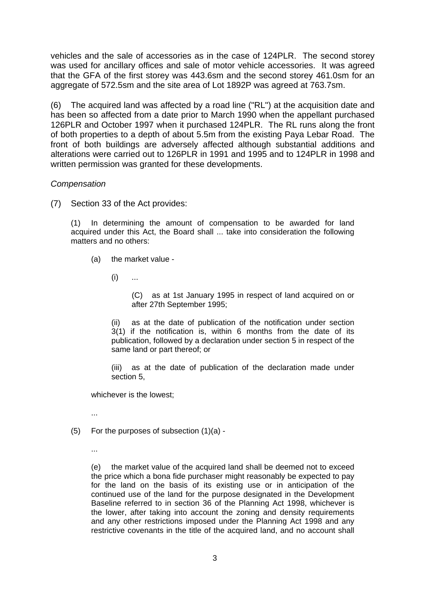vehicles and the sale of accessories as in the case of 124PLR. The second storey was used for ancillary offices and sale of motor vehicle accessories. It was agreed that the GFA of the first storey was 443.6sm and the second storey 461.0sm for an aggregate of 572.5sm and the site area of Lot 1892P was agreed at 763.7sm.

(6) The acquired land was affected by a road line ("RL") at the acquisition date and has been so affected from a date prior to March 1990 when the appellant purchased 126PLR and October 1997 when it purchased 124PLR. The RL runs along the front of both properties to a depth of about 5.5m from the existing Paya Lebar Road. The front of both buildings are adversely affected although substantial additions and alterations were carried out to 126PLR in 1991 and 1995 and to 124PLR in 1998 and written permission was granted for these developments.

# *Compensation*

(7) Section 33 of the Act provides:

(1) In determining the amount of compensation to be awarded for land acquired under this Act, the Board shall ... take into consideration the following matters and no others:

- (a) the market value
	- $(i)$  ...

(C) as at 1st January 1995 in respect of land acquired on or after 27th September 1995;

(ii) as at the date of publication of the notification under section 3(1) if the notification is, within 6 months from the date of its publication, followed by a declaration under section 5 in respect of the same land or part thereof; or

(iii) as at the date of publication of the declaration made under section 5,

whichever is the lowest;

...

- $(5)$  For the purposes of subsection  $(1)(a)$  -
	- ...

(e) the market value of the acquired land shall be deemed not to exceed the price which a bona fide purchaser might reasonably be expected to pay for the land on the basis of its existing use or in anticipation of the continued use of the land for the purpose designated in the Development Baseline referred to in section 36 of the Planning Act 1998, whichever is the lower, after taking into account the zoning and density requirements and any other restrictions imposed under the Planning Act 1998 and any restrictive covenants in the title of the acquired land, and no account shall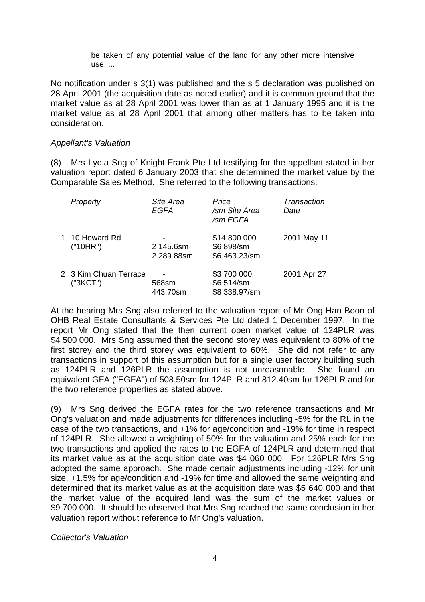be taken of any potential value of the land for any other more intensive use ....

No notification under s 3(1) was published and the s 5 declaration was published on 28 April 2001 (the acquisition date as noted earlier) and it is common ground that the market value as at 28 April 2001 was lower than as at 1 January 1995 and it is the market value as at 28 April 2001 that among other matters has to be taken into consideration.

## *Appellant's Valuation*

(8) Mrs Lydia Sng of Knight Frank Pte Ltd testifying for the appellant stated in her valuation report dated 6 January 2003 that she determined the market value by the Comparable Sales Method. She referred to the following transactions:

| Property                          | Site Area<br>EGFA       | Price<br>/sm Site Area<br>/sm EGFA          | Transaction<br>Date |
|-----------------------------------|-------------------------|---------------------------------------------|---------------------|
| 1 10 Howard Rd<br>("10HR")        | 2 145.6sm<br>2 289.88sm | \$14 800 000<br>\$6 898/sm<br>\$6 463.23/sm | 2001 May 11         |
| 2 3 Kim Chuan Terrace<br>("3KCT") | 568sm<br>443.70sm       | \$3700000<br>\$6 514/sm<br>\$8 338.97/sm    | 2001 Apr 27         |

At the hearing Mrs Sng also referred to the valuation report of Mr Ong Han Boon of OHB Real Estate Consultants & Services Pte Ltd dated 1 December 1997. In the report Mr Ong stated that the then current open market value of 124PLR was \$4 500 000. Mrs Sng assumed that the second storey was equivalent to 80% of the first storey and the third storey was equivalent to 60%. She did not refer to any transactions in support of this assumption but for a single user factory building such as 124PLR and 126PLR the assumption is not unreasonable. She found an equivalent GFA ("EGFA") of 508.50sm for 124PLR and 812.40sm for 126PLR and for the two reference properties as stated above.

(9) Mrs Sng derived the EGFA rates for the two reference transactions and Mr Ong's valuation and made adjustments for differences including -5% for the RL in the case of the two transactions, and +1% for age/condition and -19% for time in respect of 124PLR. She allowed a weighting of 50% for the valuation and 25% each for the two transactions and applied the rates to the EGFA of 124PLR and determined that its market value as at the acquisition date was \$4 060 000. For 126PLR Mrs Sng adopted the same approach. She made certain adjustments including -12% for unit size, +1.5% for age/condition and -19% for time and allowed the same weighting and determined that its market value as at the acquisition date was \$5 640 000 and that the market value of the acquired land was the sum of the market values or \$9 700 000. It should be observed that Mrs Sng reached the same conclusion in her valuation report without reference to Mr Ong's valuation.

*Collector's Valuation*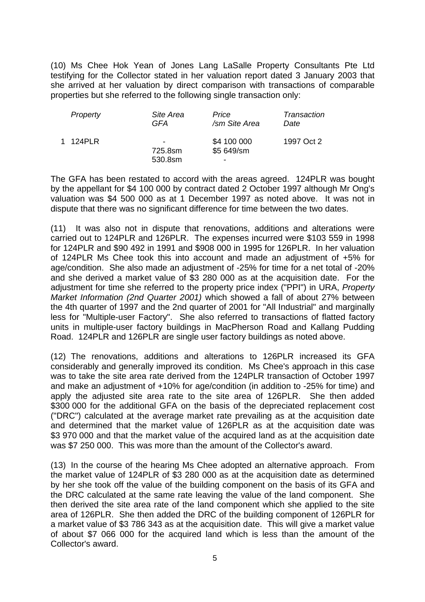(10) Ms Chee Hok Yean of Jones Lang LaSalle Property Consultants Pte Ltd testifying for the Collector stated in her valuation report dated 3 January 2003 that she arrived at her valuation by direct comparison with transactions of comparable properties but she referred to the following single transaction only:

| Property | Site Area                                      | Price                                                 | Transaction |
|----------|------------------------------------------------|-------------------------------------------------------|-------------|
|          | GFA                                            | /sm Site Area                                         | Date        |
| 1 124PLR | $\overline{\phantom{0}}$<br>725.8sm<br>530.8sm | \$4 100 000<br>\$5 649/sm<br>$\overline{\phantom{0}}$ | 1997 Oct 2  |

The GFA has been restated to accord with the areas agreed. 124PLR was bought by the appellant for \$4 100 000 by contract dated 2 October 1997 although Mr Ong's valuation was \$4 500 000 as at 1 December 1997 as noted above. It was not in dispute that there was no significant difference for time between the two dates.

(11) It was also not in dispute that renovations, additions and alterations were carried out to 124PLR and 126PLR. The expenses incurred were \$103 559 in 1998 for 124PLR and \$90 492 in 1991 and \$908 000 in 1995 for 126PLR. In her valuation of 124PLR Ms Chee took this into account and made an adjustment of +5% for age/condition. She also made an adjustment of -25% for time for a net total of -20% and she derived a market value of \$3 280 000 as at the acquisition date. For the adjustment for time she referred to the property price index ("PPI") in URA, *Property Market Information (2nd Quarter 2001)* which showed a fall of about 27% between the 4th quarter of 1997 and the 2nd quarter of 2001 for "All Industrial" and marginally less for "Multiple-user Factory". She also referred to transactions of flatted factory units in multiple-user factory buildings in MacPherson Road and Kallang Pudding Road. 124PLR and 126PLR are single user factory buildings as noted above.

(12) The renovations, additions and alterations to 126PLR increased its GFA considerably and generally improved its condition. Ms Chee's approach in this case was to take the site area rate derived from the 124PLR transaction of October 1997 and make an adjustment of +10% for age/condition (in addition to -25% for time) and apply the adjusted site area rate to the site area of 126PLR. She then added \$300 000 for the additional GFA on the basis of the depreciated replacement cost ("DRC") calculated at the average market rate prevailing as at the acquisition date and determined that the market value of 126PLR as at the acquisition date was \$3 970 000 and that the market value of the acquired land as at the acquisition date was \$7 250 000. This was more than the amount of the Collector's award.

(13) In the course of the hearing Ms Chee adopted an alternative approach. From the market value of 124PLR of \$3 280 000 as at the acquisition date as determined by her she took off the value of the building component on the basis of its GFA and the DRC calculated at the same rate leaving the value of the land component. She then derived the site area rate of the land component which she applied to the site area of 126PLR. She then added the DRC of the building component of 126PLR for a market value of \$3 786 343 as at the acquisition date. This will give a market value of about \$7 066 000 for the acquired land which is less than the amount of the Collector's award.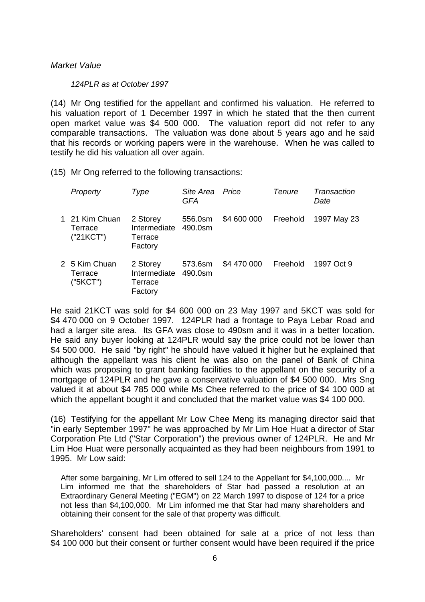## *Market Value*

### *124PLR as at October 1997*

(14) Mr Ong testified for the appellant and confirmed his valuation. He referred to his valuation report of 1 December 1997 in which he stated that the then current open market value was \$4 500 000. The valuation report did not refer to any comparable transactions. The valuation was done about 5 years ago and he said that his records or working papers were in the warehouse. When he was called to testify he did his valuation all over again.

(15) Mr Ong referred to the following transactions:

| Property                               | Type                                           | Site Area<br><b>GFA</b> | Price       | <b>Tenure</b> | Transaction<br>Date |
|----------------------------------------|------------------------------------------------|-------------------------|-------------|---------------|---------------------|
| 1 21 Kim Chuan<br>Terrace<br>("21KCT") | 2 Storey<br>Intermediate<br>Terrace<br>Factory | 556.0sm<br>490.0sm      | \$4 600 000 | Freehold      | 1997 May 23         |
| 2 5 Kim Chuan<br>Terrace<br>("5KCT")   | 2 Storey<br>Intermediate<br>Terrace<br>Factory | 573.6sm<br>$490.0$ sm   | \$4 470 000 | Freehold      | 1997 Oct 9          |

He said 21KCT was sold for \$4 600 000 on 23 May 1997 and 5KCT was sold for \$4 470 000 on 9 October 1997. 124PLR had a frontage to Paya Lebar Road and had a larger site area. Its GFA was close to 490sm and it was in a better location. He said any buyer looking at 124PLR would say the price could not be lower than \$4 500 000. He said "by right" he should have valued it higher but he explained that although the appellant was his client he was also on the panel of Bank of China which was proposing to grant banking facilities to the appellant on the security of a mortgage of 124PLR and he gave a conservative valuation of \$4 500 000. Mrs Sng valued it at about \$4 785 000 while Ms Chee referred to the price of \$4 100 000 at which the appellant bought it and concluded that the market value was \$4 100 000.

(16) Testifying for the appellant Mr Low Chee Meng its managing director said that "in early September 1997" he was approached by Mr Lim Hoe Huat a director of Star Corporation Pte Ltd ("Star Corporation") the previous owner of 124PLR. He and Mr Lim Hoe Huat were personally acquainted as they had been neighbours from 1991 to 1995. Mr Low said:

After some bargaining, Mr Lim offered to sell 124 to the Appellant for \$4,100,000.... Mr Lim informed me that the shareholders of Star had passed a resolution at an Extraordinary General Meeting ("EGM") on 22 March 1997 to dispose of 124 for a price not less than \$4,100,000. Mr Lim informed me that Star had many shareholders and obtaining their consent for the sale of that property was difficult.

Shareholders' consent had been obtained for sale at a price of not less than \$4 100 000 but their consent or further consent would have been required if the price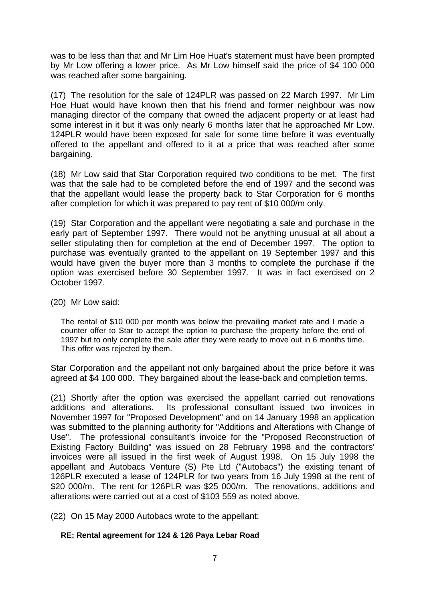was to be less than that and Mr Lim Hoe Huat's statement must have been prompted by Mr Low offering a lower price. As Mr Low himself said the price of \$4 100 000 was reached after some bargaining.

(17) The resolution for the sale of 124PLR was passed on 22 March 1997. Mr Lim Hoe Huat would have known then that his friend and former neighbour was now managing director of the company that owned the adjacent property or at least had some interest in it but it was only nearly 6 months later that he approached Mr Low. 124PLR would have been exposed for sale for some time before it was eventually offered to the appellant and offered to it at a price that was reached after some bargaining.

(18) Mr Low said that Star Corporation required two conditions to be met. The first was that the sale had to be completed before the end of 1997 and the second was that the appellant would lease the property back to Star Corporation for 6 months after completion for which it was prepared to pay rent of \$10 000/m only.

(19) Star Corporation and the appellant were negotiating a sale and purchase in the early part of September 1997. There would not be anything unusual at all about a seller stipulating then for completion at the end of December 1997. The option to purchase was eventually granted to the appellant on 19 September 1997 and this would have given the buyer more than 3 months to complete the purchase if the option was exercised before 30 September 1997. It was in fact exercised on 2 October 1997.

(20) Mr Low said:

The rental of \$10 000 per month was below the prevailing market rate and I made a counter offer to Star to accept the option to purchase the property before the end of 1997 but to only complete the sale after they were ready to move out in 6 months time. This offer was rejected by them.

Star Corporation and the appellant not only bargained about the price before it was agreed at \$4 100 000. They bargained about the lease-back and completion terms.

(21) Shortly after the option was exercised the appellant carried out renovations additions and alterations. Its professional consultant issued two invoices in November 1997 for "Proposed Development" and on 14 January 1998 an application was submitted to the planning authority for "Additions and Alterations with Change of Use". The professional consultant's invoice for the "Proposed Reconstruction of Existing Factory Building" was issued on 28 February 1998 and the contractors' invoices were all issued in the first week of August 1998. On 15 July 1998 the appellant and Autobacs Venture (S) Pte Ltd ("Autobacs") the existing tenant of 126PLR executed a lease of 124PLR for two years from 16 July 1998 at the rent of \$20 000/m. The rent for 126PLR was \$25 000/m. The renovations, additions and alterations were carried out at a cost of \$103 559 as noted above.

(22) On 15 May 2000 Autobacs wrote to the appellant:

# **RE: Rental agreement for 124 & 126 Paya Lebar Road**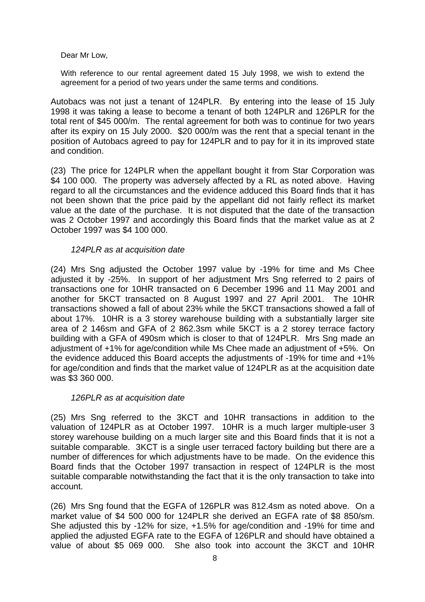Dear Mr Low,

With reference to our rental agreement dated 15 July 1998, we wish to extend the agreement for a period of two years under the same terms and conditions.

Autobacs was not just a tenant of 124PLR. By entering into the lease of 15 July 1998 it was taking a lease to become a tenant of both 124PLR and 126PLR for the total rent of \$45 000/m. The rental agreement for both was to continue for two years after its expiry on 15 July 2000. \$20 000/m was the rent that a special tenant in the position of Autobacs agreed to pay for 124PLR and to pay for it in its improved state and condition.

(23) The price for 124PLR when the appellant bought it from Star Corporation was \$4 100 000. The property was adversely affected by a RL as noted above. Having regard to all the circumstances and the evidence adduced this Board finds that it has not been shown that the price paid by the appellant did not fairly reflect its market value at the date of the purchase. It is not disputed that the date of the transaction was 2 October 1997 and accordingly this Board finds that the market value as at 2 October 1997 was \$4 100 000.

# *124PLR as at acquisition date*

(24) Mrs Sng adjusted the October 1997 value by -19% for time and Ms Chee adjusted it by -25%. In support of her adjustment Mrs Sng referred to 2 pairs of transactions one for 10HR transacted on 6 December 1996 and 11 May 2001 and another for 5KCT transacted on 8 August 1997 and 27 April 2001. The 10HR transactions showed a fall of about 23% while the 5KCT transactions showed a fall of about 17%. 10HR is a 3 storey warehouse building with a substantially larger site area of 2 146sm and GFA of 2 862.3sm while 5KCT is a 2 storey terrace factory building with a GFA of 490sm which is closer to that of 124PLR. Mrs Sng made an adjustment of +1% for age/condition while Ms Chee made an adjustment of +5%. On the evidence adduced this Board accepts the adjustments of -19% for time and +1% for age/condition and finds that the market value of 124PLR as at the acquisition date was \$3 360 000.

# *126PLR as at acquisition date*

(25) Mrs Sng referred to the 3KCT and 10HR transactions in addition to the valuation of 124PLR as at October 1997. 10HR is a much larger multiple-user 3 storey warehouse building on a much larger site and this Board finds that it is not a suitable comparable. 3KCT is a single user terraced factory building but there are a number of differences for which adjustments have to be made. On the evidence this Board finds that the October 1997 transaction in respect of 124PLR is the most suitable comparable notwithstanding the fact that it is the only transaction to take into account.

(26) Mrs Sng found that the EGFA of 126PLR was 812.4sm as noted above. On a market value of \$4 500 000 for 124PLR she derived an EGFA rate of \$8 850/sm. She adjusted this by -12% for size, +1.5% for age/condition and -19% for time and applied the adjusted EGFA rate to the EGFA of 126PLR and should have obtained a value of about \$5 069 000. She also took into account the 3KCT and 10HR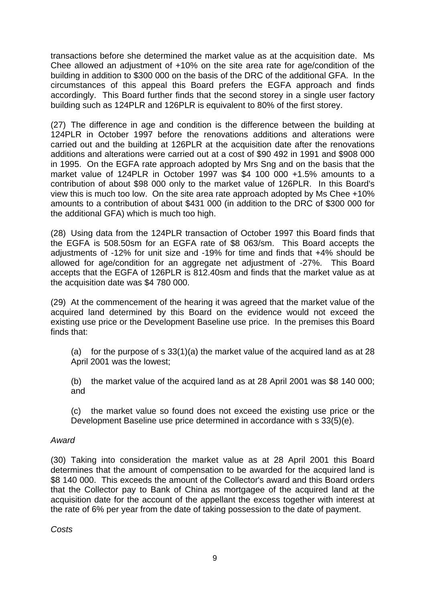transactions before she determined the market value as at the acquisition date. Ms Chee allowed an adjustment of +10% on the site area rate for age/condition of the building in addition to \$300 000 on the basis of the DRC of the additional GFA. In the circumstances of this appeal this Board prefers the EGFA approach and finds accordingly. This Board further finds that the second storey in a single user factory building such as 124PLR and 126PLR is equivalent to 80% of the first storey.

(27) The difference in age and condition is the difference between the building at 124PLR in October 1997 before the renovations additions and alterations were carried out and the building at 126PLR at the acquisition date after the renovations additions and alterations were carried out at a cost of \$90 492 in 1991 and \$908 000 in 1995. On the EGFA rate approach adopted by Mrs Sng and on the basis that the market value of 124PLR in October 1997 was \$4 100 000 +1.5% amounts to a contribution of about \$98 000 only to the market value of 126PLR. In this Board's view this is much too low. On the site area rate approach adopted by Ms Chee +10% amounts to a contribution of about \$431 000 (in addition to the DRC of \$300 000 for the additional GFA) which is much too high.

(28) Using data from the 124PLR transaction of October 1997 this Board finds that the EGFA is 508.50sm for an EGFA rate of \$8 063/sm. This Board accepts the adjustments of -12% for unit size and -19% for time and finds that +4% should be allowed for age/condition for an aggregate net adjustment of -27%. This Board accepts that the EGFA of 126PLR is 812.40sm and finds that the market value as at the acquisition date was \$4 780 000.

(29) At the commencement of the hearing it was agreed that the market value of the acquired land determined by this Board on the evidence would not exceed the existing use price or the Development Baseline use price. In the premises this Board finds that:

(a) for the purpose of s  $33(1)(a)$  the market value of the acquired land as at 28 April 2001 was the lowest;

(b) the market value of the acquired land as at 28 April 2001 was \$8 140 000; and

(c) the market value so found does not exceed the existing use price or the Development Baseline use price determined in accordance with s 33(5)(e).

# *Award*

(30) Taking into consideration the market value as at 28 April 2001 this Board determines that the amount of compensation to be awarded for the acquired land is \$8 140 000. This exceeds the amount of the Collector's award and this Board orders that the Collector pay to Bank of China as mortgagee of the acquired land at the acquisition date for the account of the appellant the excess together with interest at the rate of 6% per year from the date of taking possession to the date of payment.

*Costs*